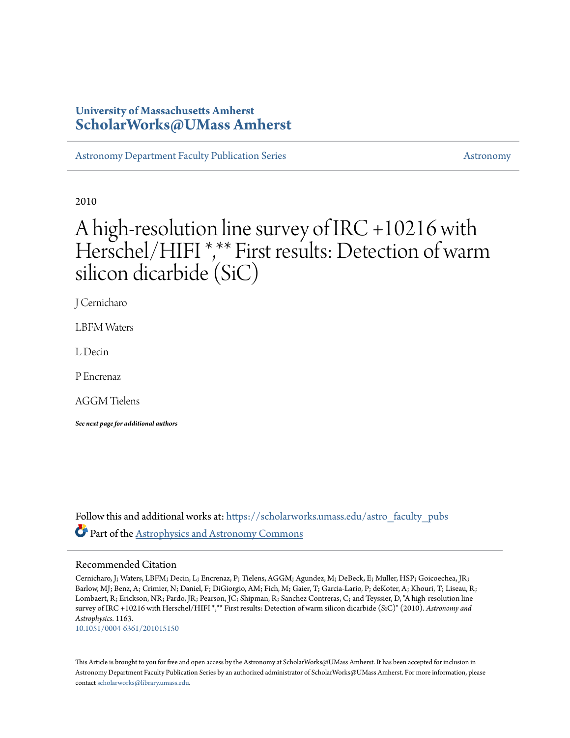### **University of Massachusetts Amherst [ScholarWorks@UMass Amherst](https://scholarworks.umass.edu?utm_source=scholarworks.umass.edu%2Fastro_faculty_pubs%2F1163&utm_medium=PDF&utm_campaign=PDFCoverPages)**

[Astronomy Department Faculty Publication Series](https://scholarworks.umass.edu/astro_faculty_pubs?utm_source=scholarworks.umass.edu%2Fastro_faculty_pubs%2F1163&utm_medium=PDF&utm_campaign=PDFCoverPages) [Astronomy](https://scholarworks.umass.edu/astro?utm_source=scholarworks.umass.edu%2Fastro_faculty_pubs%2F1163&utm_medium=PDF&utm_campaign=PDFCoverPages) Astronomy

2010

# A high-resolution line survey of IRC +10216 with Herschel/HIFI<sup>\*,\*\*</sup> First results: Detection of warm silicon dicarbide (SiC)

J Cernicharo

LBFM Waters

L Decin

P Encrenaz

AGGM Tielens

*See next page for additional authors*

Follow this and additional works at: https://scholarworks.umass.edu/astro faculty pubs Part of the [Astrophysics and Astronomy Commons](http://network.bepress.com/hgg/discipline/123?utm_source=scholarworks.umass.edu%2Fastro_faculty_pubs%2F1163&utm_medium=PDF&utm_campaign=PDFCoverPages)

#### Recommended Citation

Cernicharo, J; Waters, LBFM; Decin, L; Encrenaz, P; Tielens, AGGM; Agundez, M; DeBeck, E; Muller, HSP; Goicoechea, JR; Barlow, MJ; Benz, A; Crimier, N; Daniel, F; DiGiorgio, AM; Fich, M; Gaier, T; Garcia-Lario, P; deKoter, A; Khouri, T; Liseau, R; Lombaert, R; Erickson, NR; Pardo, JR; Pearson, JC; Shipman, R; Sanchez Contreras, C; and Teyssier, D, "A high-resolution line survey of IRC +10216 with Herschel/HIFI \*,\*\* First results: Detection of warm silicon dicarbide (SiC)" (2010). *Astronomy and Astrophysics*. 1163. <10.1051/0004-6361/201015150>

This Article is brought to you for free and open access by the Astronomy at ScholarWorks@UMass Amherst. It has been accepted for inclusion in Astronomy Department Faculty Publication Series by an authorized administrator of ScholarWorks@UMass Amherst. For more information, please contact [scholarworks@library.umass.edu](mailto:scholarworks@library.umass.edu).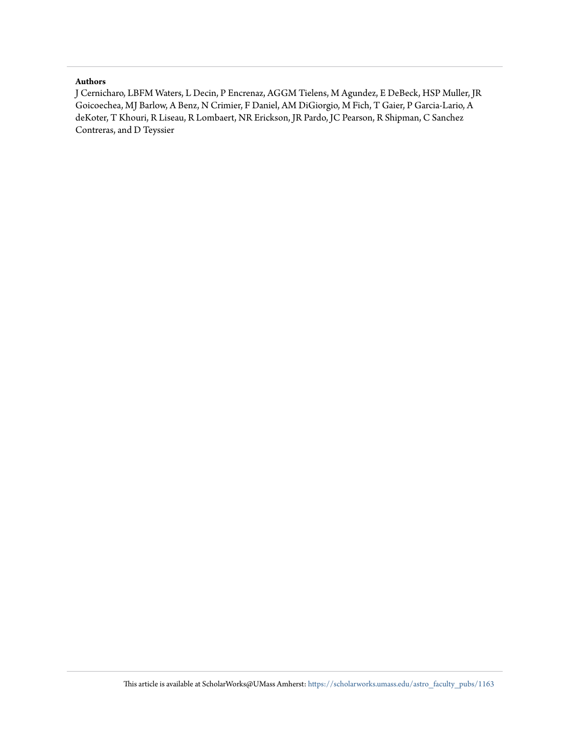#### **Authors**

J Cernicharo, LBFM Waters, L Decin, P Encrenaz, AGGM Tielens, M Agundez, E DeBeck, HSP Muller, JR Goicoechea, MJ Barlow, A Benz, N Crimier, F Daniel, AM DiGiorgio, M Fich, T Gaier, P Garcia-Lario, A deKoter, T Khouri, R Liseau, R Lombaert, NR Erickson, JR Pardo, JC Pearson, R Shipman, C Sanchez Contreras, and D Teyssier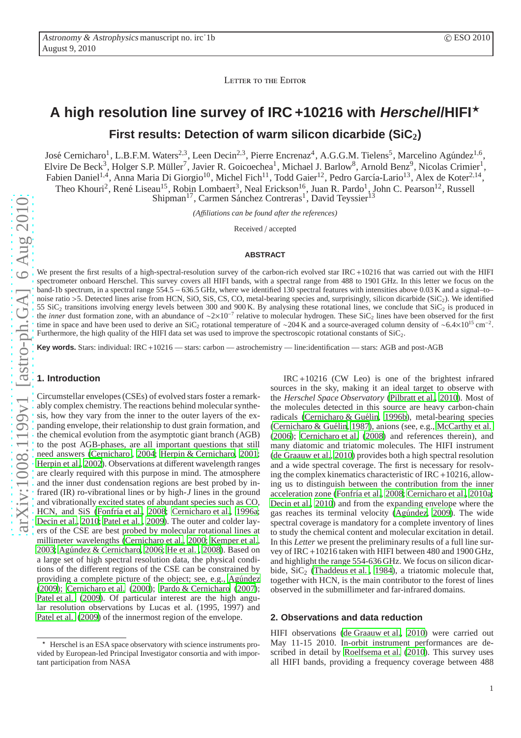LETTER TO THE EDITOR

## **A high resolution line survey of IRC +10216 with Herschel/HIFI**<sup>⋆</sup> **First results: Detection of warm silicon dicarbide (SiC2)**

José Cernicharo<sup>1</sup>, L.B.F.M. Waters<sup>2,3</sup>, Leen Decin<sup>2,3</sup>, Pierre Encrenaz<sup>4</sup>, A.G.G.M. Tielens<sup>5</sup>, Marcelino Agúndez<sup>1,6</sup>, Elvire De Beck<sup>3</sup>, Holger S.P. Müller<sup>7</sup>, Javier R. Goicoechea<sup>1</sup>, Michael J. Barlow<sup>8</sup>, Arnold Benz<sup>9</sup>, Nicolas Crimier<sup>1</sup>, Fabien Daniel<sup>1,4</sup>, Anna Maria Di Giorgio<sup>10</sup>, Michel Fich<sup>11</sup>, Todd Gaier<sup>12</sup>, Pedro García-Lario<sup>13</sup>, Alex de Koter<sup>2,14</sup>, Theo Khouri<sup>2</sup>, René Liseau<sup>15</sup>, Robin Lombaert<sup>3</sup>, Neal Erickson<sup>16</sup>, Juan R. Pardo<sup>1</sup>, John C. Pearson<sup>12</sup>, Russell Shipman<sup>17</sup>, Carmen Sánchez Contreras<sup>1</sup>, David Teyssier<sup>13</sup>

*(A*ffi*liations can be found after the references)*

Received / accepted

#### **ABSTRACT**

We present the first results of a high-spectral-resolution survey of the carbon-rich evolved star IRC+10216 that was carried out with the HIFI spectrometer onboard Herschel. This survey covers all HIFI bands, with a spectral range from 488 to 1901 GHz. In this letter we focus on the band-1b spectrum, in a spectral range 554.5 − 636.5 GHz, where we identified 130 spectral features with intensities above 0.03 K and a signal–to– noise ratio >5. Detected lines arise from HCN, SiO, SiS, CS, CO, metal-bearing species and, surprisingly, silicon dicarbide (SiC<sub>2</sub>). We identified 55 SiC<sub>2</sub> transitions involving energy levels between 300 and 900 K. By analysing these rotational lines, we conclude that  $\text{SiC}_2$  is produced in the *inner* dust formation zone, with an abundance of ~2×10<sup>-7</sup> relative to molecular hydrogen. These SiC<sub>2</sub> lines have been observed for the first time in space and have been used to derive an SiC<sub>2</sub> rotational temperature of ~204 K and a source-averaged column density of ~6.4×10<sup>15</sup> cm<sup>-2</sup>. Furthermore, the high quality of the HIFI data set was used to improve the spectroscopic rotational constants of  $\text{SiC}_2$ .

**Key words.** Stars: individual: IRC+10216 — stars: carbon — astrochemistry — line:identification — stars: AGB and post-AGB

#### **1. Introduction**

Circumstellar envelopes (CSEs) of evolved stars foster a remarkably complex chemistry. The reactions behind molecular synthesis, how they vary from the inner to the outer layers of the expanding envelope, their relationship to dust grain formation, and the chemical evolution from the asymptotic giant branch (AGB) to the post AGB-phases, are all important questions that still need answers [\(Cernicharo , 2004;](#page-5-0) [Herpin & Cernicharo, 2001](#page-5-1); [Herpin et al., 2002](#page-5-2)). Observations at different wavelength ranges are clearly required with this purpose in mind. The atmosphere and the inner dust condensation regions are best probed by infrared (IR) ro-vibrational lines or by high-*J* lines in the ground and vibrationally excited states of abundant species such as CO, HCN, and SiS (Fonfría et al., [2008](#page-5-3); [Cernicharo et al., 1996a](#page-5-4); [Decin et al., 2010;](#page-5-5) [Patel et al.](#page-5-6) , [2009\)](#page-5-6). The outer and colder layers of the CSE are best probed by molecular rotational lines at millimeter wavelengths [\(Cernicharo et al.](#page-5-7), [2000;](#page-5-7) [Kemper et](#page-5-8) al., [2003](#page-5-8); Agúndez & Cernicharo, 2006; He et al., 2008). Based on a large set of high spectral resolution data, the physical conditions of the different regions of the CSE can be constrained by providing a complete picture of the object; see, e.g., Agúndez [\(2009\)](#page-5-11); [Cernicharo et al. \(2000](#page-5-7)); [Pardo & Cernicharo \(2007\)](#page-5-12); [Patel et al. \(2009\)](#page-5-6). Of particular interest are the high angular resolution observations by Lucas et al. (1995, 1997) and [Patel et al. \(2009\)](#page-5-6) of the innermost region of the envelope.

IRC+10216 (CW Leo) is one of the brightest infrared sources in the sky, making it an ideal target to observe with the *Herschel Space Observatory* [\(Pilbratt et al., 2010\)](#page-5-13). Most of the molecules detected in this source are heavy carbon-chain radicals (Cernicharo & Guélin, [1996b\)](#page-5-14), metal-bearing species (Cernicharo & Guélin, [1987\)](#page-5-15), anions (see, e.g., [McCarthy et al.](#page-5-16) [\(2006](#page-5-16)); [Cernicharo et al.](#page-5-17) [\(2008\)](#page-5-17) and references therein), and many diatomic and triatomic molecules. The HIFI instrument [\(de Graauw et al., 2010](#page-5-18)) provides both a high spectral resolution and a wide spectral coverage. The first is necessary for resolving the complex kinematics characteristic of IRC +10216, allowing us to distinguish between the contribution from the inner acceleration zone (Fonfría et al., [2008](#page-5-3); [Cernicharo et al., 2010a;](#page-5-19) [Decin et al., 2010\)](#page-5-5) and from the expanding envelope where the gas reaches its terminal velocity (Agúndez, 2009). The wide spectral coverage is mandatory for a complete inventory of lines to study the chemical content and molecular excitation in detail. In this *Letter* we present the preliminary results of a full line survey of IRC+10216 taken with HIFI between 480 and 1900 GHz, and highlight the range 554-636 GHz. We focus on silicon dicarbide,  $\text{SiC}_2$  (Thaddeus et al., 1984), a triatomic molecule that, together with HCN, is the main contributor to the forest of lines observed in the submillimeter and far-infrared domains.

#### **2. Observations and data reduction**

HIFI observations [\(de Graauw et al.](#page-5-18), [2010](#page-5-18)) were carried out May 11-15 2010. In-orbit instrument performances are described in detail by [Roelfsema et al. \(2010\)](#page-5-20). This survey uses all HIFI bands, providing a frequency coverage between 488

<sup>⋆</sup> Herschel is an ESA space observatory with science instruments provided by European-led Principal Investigator consortia and with important participation from NASA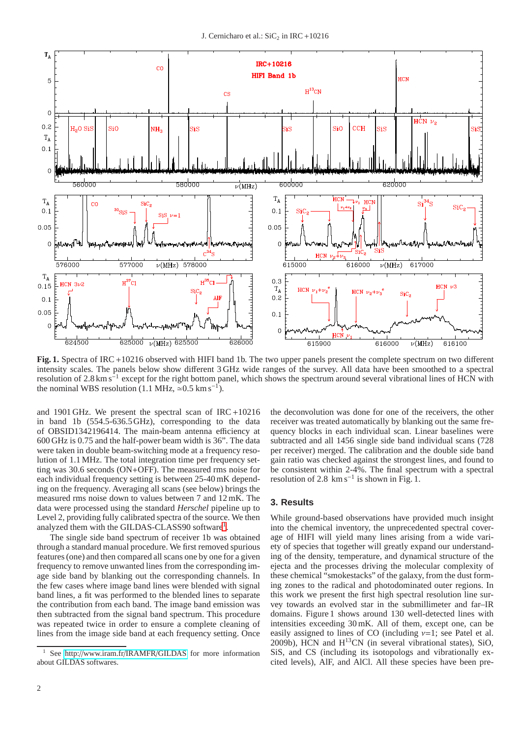

Fig. 1. Spectra of IRC +10216 observed with HIFI band 1b. The two upper panels present the complete spectrum on two different intensity scales. The panels below show different 3 GHz wide ranges of the survey. All data have been smoothed to a spectral resolution of 2.8 km s<sup>-1</sup> except for the right bottom panel, which shows the spectrum around several vibrational lines of HCN with the nominal WBS resolution (1.1 MHz,  $\approx 0.5$  km s<sup>-1</sup>).

and 1901 GHz. We present the spectral scan of IRC+10216 in band 1b (554.5-636.5GHz), corresponding to the data of OBSID1342196414. The main-beam antenna efficiency at 600 GHz is 0.75 and the half-power beam width is 36". The data were taken in double beam-switching mode at a frequency resolution of 1.1 MHz. The total integration time per frequency setting was 30.6 seconds (ON+OFF). The measured rms noise for each individual frequency setting is between 25-40 mK depending on the frequency. Averaging all scans (see below) brings the measured rms noise down to values between 7 and 12 mK. The data were processed using the standard *Herschel* pipeline up to Level 2, providing fully calibrated spectra of the source. We then analyzed them with the GILDAS-CLASS90 software<sup>[1](#page-3-0)</sup>.

The single side band spectrum of receiver 1b was obtained through a standard manual procedure. We first removed spurious features (one) and then compared all scans one by one for a given frequency to remove unwanted lines from the corresponding image side band by blanking out the corresponding channels. In the few cases where image band lines were blended with signal band lines, a fit was performed to the blended lines to separate the contribution from each band. The image band emission was then subtracted from the signal band spectrum. This procedure was repeated twice in order to ensure a complete cleaning of lines from the image side band at each frequency setting. Once

the deconvolution was done for one of the receivers, the other receiver was treated automatically by blanking out the same frequency blocks in each individual scan. Linear baselines were subtracted and all 1456 single side band individual scans (728 per receiver) merged. The calibration and the double side band gain ratio was checked against the strongest lines, and found to be consistent within 2-4%. The final spectrum with a spectral resolution of 2.8  $km s^{-1}$  is shown in Fig. 1.

#### **3. Results**

While ground-based observations have provided much insight into the chemical inventory, the unprecedented spectral coverage of HIFI will yield many lines arising from a wide variety of species that together will greatly expand our understanding of the density, temperature, and dynamical structure of the ejecta and the processes driving the molecular complexity of these chemical "smokestacks" of the galaxy, from the dust forming zones to the radical and photodominated outer regions. In this work we present the first high spectral resolution line survey towards an evolved star in the submillimeter and far–IR domains. Figure 1 shows around 130 well-detected lines with intensities exceeding 30 mK. All of them, except one, can be easily assigned to lines of CO (including  $\nu=1$ ; see Patel et al. 2009b), HCN and H13CN (in several vibrational states), SiO, SiS, and CS (including its isotopologs and vibrationally excited levels), AlF, and AlCl. All these species have been pre-

<span id="page-3-0"></span>See http://[www.iram.fr](http://www.iram.fr/IRAMFR/GILDAS)/IRAMFR/GILDAS for more information about GILDAS softwares.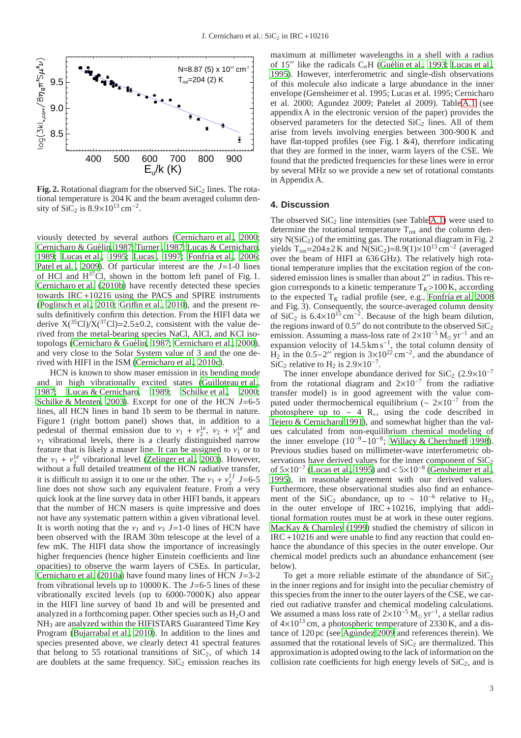

**Fig. 2.** Rotational diagram for the observed  $SiC<sub>2</sub>$  lines. The rotational temperature is 204 K and the beam averaged column density of SiC<sub>2</sub> is  $8.9 \times 10^{13}$  cm<sup>-2</sup>.

viously detected by several authors [\(Cernicharo et al., 2000](#page-5-7); Cernicharo & Guélin, [1987;](#page-5-15) [Turner , 1987;](#page-6-1) [Lucas & Cernicharo,](#page-5-21) [1989](#page-5-21); [Lucas et al.](#page-5-22), [1995](#page-5-22); Lucas, 1997; Fonfría et al., [2006](#page-5-24); [Patel et al.](#page-5-6) , [2009](#page-5-6)). Of particular interest are the *J*=1-0 lines of HCl and  $H^{37}$ Cl, shown in the bottom left panel of Fig. 1. [Cernicharo et al.](#page-5-25) [\(2010b\)](#page-5-25) have recently detected these species towards IRC+10216 using the PACS and SPIRE instruments [\(Poglitsch et al.](#page-5-26), [2010;](#page-5-26) Griffi[n et al., 2010\)](#page-5-27), and the present results definitively confirm this detection. From the HIFI data we derive  $X(^{35}Cl)/X(^{37}Cl) = 2.5 \pm 0.2$ , consistent with the value derived from the metal-bearing species NaCl, AlCl, and KCl iso-topologs (Cernicharo & Guélin, [1987](#page-5-15); [Cernicharo et al.](#page-5-7), [2000](#page-5-7)), and very close to the Solar System value of 3 and the one derived with HIFI in the ISM [\(Cernicharo et al.](#page-5-28), [2010c\)](#page-5-28).

HCN is known to show maser emission in its bending mode and in high vibrationally excited states [\(Guilloteau et al.](#page-5-29), [1987](#page-5-29); [Lucas & Cernicharo, 1989;](#page-5-21) [Schilke et al.](#page-6-2), [2000](#page-6-2); [Schilke & Menten](#page-6-3), [2003\)](#page-6-3). Except for one of the HCN *J*=6-5 lines, all HCN lines in band 1b seem to be thermal in nature. Figure 1 (right bottom panel) shows that, in addition to a pedestal of thermal emission due to  $v_1 + v_2^{1e}$ ,  $v_2 + v_3^{1e}$  and  $v_1$  vibrational levels, there is a clearly distinguished narrow feature that is likely a maser line. It can be assigned to  $v_1$  or to the  $v_1 + v_2^{\text{le}}$  vibrational level [\(Zelinger et al.](#page-6-4), [2003\)](#page-6-4). However, without a full detailed treatment of the HCN radiative transfer, it is difficult to assign it to one or the other. The  $v_1 + v_2^{1f}$  $\frac{1}{2}$  J=6-5 line does not show such any equivalent feature. From a very quick look at the line survey data in other HIFI bands, it appears that the number of HCN masers is quite impressive and does not have any systematic pattern within a given vibrational level. It is worth noting that the  $v_1$  and  $v_3$  J=1-0 lines of HCN have been observed with the IRAM 30m telescope at the level of a few mK. The HIFI data show the importance of increasingly higher frequencies (hence higher Einstein coefficients and line opacities) to observe the warm layers of CSEs. In particular, [Cernicharo et al. \(2010a\)](#page-5-19) have found many lines of HCN *J*=3-2 from vibrational levels up to 10000 K. The *J*=6-5 lines of these vibrationally excited levels (up to 6000-7000K) also appear in the HIFI line survey of band 1b and will be presented and analyzed in a forthcoming paper. Other species such as  $H_2O$  and NH<sup>3</sup> are analyzed within the HIFISTARS Guaranteed Time Key Program [\(Bujarrabal et al., 2010\)](#page-5-30). In addition to the lines and species presented above, we clearly detect 41 spectral features that belong to 55 rotational transitions of  $SiC<sub>2</sub>$ , of which 14 are doublets at the same frequency.  $SiC_2$  emission reaches its maximum at millimeter wavelengths in a shell with a radius of 15<sup>"</sup> like the radicals C<sub>n</sub>H (Guélin et al., 1993; [Lucas et al.](#page-5-22), [1995\)](#page-5-22). However, interferometric and single-dish observations of this molecule also indicate a large abundance in the inner envelope (Gensheimer et al. 1995; Lucas et al. 1995; Cernicharo et al. 2000; Agundez 2009; Patelet al 2009). Table [A.1](#page-8-0) (see appendix A in the electronic version of the paper) provides the observed parameters for the detected  $SiC<sub>2</sub>$  lines. All of them arise from levels involving energies between 300-900 K and have flat-topped profiles (see Fig. 1 &4), therefore indicating that they are formed in the inner, warm layers of the CSE. We found that the predicted frequencies for these lines were in error by several MHz so we provide a new set of rotational constants in Appendix A.

#### **4. Discussion**

The observed  $\text{SiC}_2$  line intensities (see Table [A.1\)](#page-8-0) were used to determine the rotational temperature  $T_{rot}$  and the column density  $N(SiC_2)$  of the emitting gas. The rotational diagram in Fig. 2 yields T<sub>rot</sub>=204±2 K and N(SiC<sub>2</sub>)=8.9(1)×10<sup>13</sup> cm<sup>-2</sup> (averaged over the beam of HIFI at 636 GHz). The relatively high rotational temperature implies that the excitation region of the considered emission lines is smaller than about 2" in radius. This region corresponds to a kinetic temperature  $T_K$ >100 K, according to the expected  $T_K$  radial profile (see, e.g., Fonfría et al. 2008) and Fig. 3). Consequently, the source-averaged column density of SiC<sub>2</sub> is  $6.4 \times 10^{15}$  cm<sup>-2</sup>. Because of the high beam dilution, the regions inward of 0.5″ do not contribute to the observed  $\text{SiC}_2$ emission. Assuming a mass-loss rate of  $2\times10^{-5}$  M<sub>o</sub> yr<sup>-1</sup> and an expansion velocity of  $14.5 \text{ km s}^{-1}$ , the total column density of H<sub>2</sub> in the 0.5–2" region is  $3\times10^{22}$  cm<sup>-2</sup>, and the abundance of SiC<sub>2</sub> relative to H<sub>2</sub> is  $2.9 \times 10^{-7}$ .

The inner envelope abundance derived for  $\text{SiC}_2$  (2.9×10<sup>-7</sup>) from the rotational diagram and  $2\times10^{-7}$  from the radiative transfer model) is in good agreement with the value computed under thermochemical equilibrium ( $\sim 2 \times 10^{-7}$  from the photosphere up to  $\sim$  4 R<sub>∗</sub>, using the code described in [Tejero & Cernicharo 1991](#page-6-5)), and somewhat higher than the values calculated from non-equilibrium chemical modeling of the inner envelope  $(10^{-9}-10^{-8})$ ; [Willacy & Cherchne](#page-6-6)ff [1998\)](#page-6-6). Previous studies based on millimeter-wave interferometric observations have derived values for the inner component of  $SiC<sub>2</sub>$ of  $5 \times 10^{-7}$  [\(Lucas et al.](#page-5-22), [1995](#page-5-22)) and <  $5 \times 10^{-8}$  [\(Gensheimer et al.](#page-5-32), [1995\)](#page-5-32), in reasonable agreement with our derived values. Furthermore, these observational studies also find an enhancement of the SiC<sub>2</sub> abundance, up to  $\sim 10^{-6}$  relative to H<sub>2</sub>, in the outer envelope of  $IRC+10216$ , implying that additional formation routes must be at work in these outer regions. [MacKay & Charnley](#page-5-33) [\(1999\)](#page-5-33) studied the chemistry of silicon in IRC+10216 and were unable to find any reaction that could enhance the abundance of this species in the outer envelope. Our chemical model predicts such an abundance enhancement (see below).

To get a more reliable estimate of the abundance of  $SiC<sub>2</sub>$ in the inner regions and for insight into the peculiar chemistry of this species from the inner to the outer layers of the CSE, we carried out radiative transfer and chemical modeling calculations. We assumed a mass loss rate of  $2\times10^{-5}$  M<sub>☉</sub> yr<sup>-1</sup>, a stellar radius of  $4\times10^{13}$  cm, a photospheric temperature of 2330 K, and a distance of 120 pc (see Agúndez 2009 and references therein). We assumed that the rotational levels of  $SiC<sub>2</sub>$  are thermalized. This approximation is adopted owing to the lack of information on the collision rate coefficients for high energy levels of  $SiC<sub>2</sub>$ , and is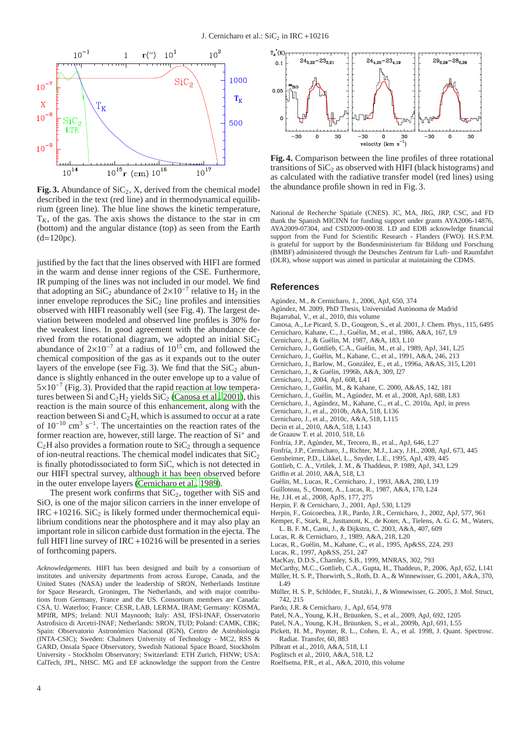

**Fig. 3.** Abundance of  $\text{SiC}_2$ , X, derived from the chemical model described in the text (red line) and in thermodynamical equilibrium (green line). The blue line shows the kinetic temperature,  $T_K$ , of the gas. The axis shows the distance to the star in cm (bottom) and the angular distance (top) as seen from the Earth  $(d=120pc)$ .

justified by the fact that the lines observed with HIFI are formed in the warm and dense inner regions of the CSE. Furthermore, IR pumping of the lines was not included in our model. We find that adopting an SiC<sub>2</sub> abundance of  $2\times10^{-7}$  relative to H<sub>2</sub> in the inner envelope reproduces the  $SiC_2$  line profiles and intensities observed with HIFI reasonably well (see Fig. 4). The largest deviation between modeled and observed line profiles is 30% for the weakest lines. In good agreement with the abundance derived from the rotational diagram, we adopted an initial  $SiC_2$ abundance of  $2\times10^{-7}$  at a radius of  $10^{15}$  cm, and followed the chemical composition of the gas as it expands out to the outer layers of the envelope (see Fig. 3). We find that the  $SiC_2$  abundance is slightly enhanced in the outer envelope up to a value of 5×10−<sup>7</sup> (Fig. 3). Provided that the rapid reaction at low temperatures between Si and  $C_2H_2$  yields  $\vec{SiC}_2$  [\(Canosa et al.](#page-5-34), [2001\)](#page-5-34), this reaction is the main source of this enhancement, along with the reaction between Si and  $C<sub>2</sub>H$ , which is assumed to occur at a rate of  $10^{-10}$  cm<sup>3</sup> s<sup>-1</sup>. The uncertainties on the reaction rates of the former reaction are, however, still large. The reaction of Si<sup>+</sup> and  $C<sub>2</sub>H$  also provides a formation route to  $SiC<sub>2</sub>$  through a sequence of ion-neutral reactions. The chemical model indicates that  $\text{SiC}_2$ is finally photodissociated to form SiC, which is not detected in our HIFI spectral survey, although it has been observed before in the outer envelope layers [\(Cernicharo et al., 1989\)](#page-5-35).

The present work confirms that  $SiC_2$ , together with SiS and SiO, is one of the major silicon carriers in the inner envelope of  $IRC + 10216$ . SiC<sub>2</sub> is likely formed under thermochemical equilibrium conditions near the photosphere and it may also play an important role in silicon carbide dust formation in the ejecta. The full HIFI line survey of IRC+10216 will be presented in a series of forthcoming papers.

*Acknowledgements.* HIFI has been designed and built by a consortium of institutes and university departments from across Europe, Canada, and the United States (NASA) under the leadership of SRON, Netherlands Institute for Space Research, Groningen, The Netherlands, and with major contributions from Germany, France and the US. Consortium members are Canada: CSA, U. Waterloo; France: CESR, LAB, LERMA, IRAM; Germany: KOSMA, MPIfR, MPS; Ireland: NUI Maynooth; Italy: ASI, IFSI-INAF, Osservatorio Astrofisico di Arcetri-INAF; Netherlands: SRON, TUD; Poland: CAMK, CBK; Spain: Observatorio Astronómico Nacional (IGN), Centro de Astrobiologia (INTA-CSIC); Sweden: Chalmers University of Technology - MC2, RSS & GARD, Onsala Space Observatory, Swedish National Space Board, Stockholm University - Stockholm Observatory; Switzerland: ETH Zurich, FHNW; USA: CalTech, JPL, NHSC. MG and EF acknowledge the support from the Centre



**Fig. 4.** Comparison between the line profiles of three rotational transitions of  $SiC_2$  as observed with HIFI (black histograms) and as calculated with the radiative transfer model (red lines) using the abundance profile shown in red in Fig. 3.

National de Recherche Spatiale (CNES). JC, MA, JRG, JRP, CSC, and FD thank the Spanish MICINN for funding support under grants AYA2006-14876, AYA2009-07304, and CSD2009-00038. LD and EDB acknowledge financial support from the Fund for Scientific Research - Flanders (FWO). H.S.P.M. is grateful for support by the Bundesministerium für Bildung und Forschung (BMBF) administered through the Deutsches Zentrum für Luft- und Raumfahrt (DLR), whose support was aimed in particular at maintaining the CDMS.

#### **References**

- <span id="page-5-9"></span>Agúndez, M., & Cernicharo, J., 2006, ApJ, 650, 374
- <span id="page-5-11"></span>Agúndez, M. 2009, PhD Thesis, Universidad Autónoma de Madrid
- <span id="page-5-30"></span>Bujarrabal, V., et al., 2010, this volume
- <span id="page-5-34"></span>Canosa, A., Le Picard, S. D., Gougeon, S., et al. 2001, J. Chem. Phys., 115, 6495
- <span id="page-5-36"></span>Cernicharo, Kahane, C., J., Guélin, M., et al., 1986, A&A, 167, L9
- <span id="page-5-15"></span>Cernicharo, J., & Guélin, M. 1987, A&A, 183, L10
- <span id="page-5-35"></span>Cernicharo, J., Gottlieb, C.A., Guélin, M., et al., 1989, ApJ, 341, L25
- <span id="page-5-37"></span>Cernicharo, J., Guélin, M., Kahane, C., et al., 1991, A&A, 246, 213
- <span id="page-5-4"></span>Cernicharo, J., Barlow, M., Gonz´alez, E., et al., 1996a, A&AS, 315, L201
- <span id="page-5-14"></span>Cernicharo, J., & Guélin, 1996b, A&A, 309, l27
- <span id="page-5-0"></span>Cernicharo, J., 2004, ApJ, 608, L41
- <span id="page-5-7"></span>Cernicharo, J., Guélin, M., & Kahane, C. 2000, A&AS, 142, 181
- <span id="page-5-17"></span>Cernicharo, J., Guélin, M., Agúndez, M. et al., 2008, ApJ, 688, L83
- <span id="page-5-19"></span>Cernicharo, J., Agúndez, M., Kahane, C., et al., C. 2010a, ApJ, in press
- <span id="page-5-25"></span>Cernicharo, J., et al., 2010b, A&A, 518, L136
- <span id="page-5-28"></span>Cernicharo, J., et al., 2010c, A&A, 518, L115
- <span id="page-5-5"></span>Decin et al., 2010, A&A, 518, L143
- <span id="page-5-18"></span>de Graauw T. et al. 2010, 518, L6
- <span id="page-5-24"></span>Fonfría, J.P., Agúndez, M., Tercero, B., et al., ApJ, 646, L27
- Fonfría, J.P., Cernicharo, J., Richter, M.J., Lacy, J.H., 2008, ApJ, 673, 445
- <span id="page-5-32"></span><span id="page-5-3"></span>Gensheimer, P.D., Likkel, L., Snyder, L.E., 1995, ApJ, 439, 445
- <span id="page-5-38"></span>Gottlieb, C. A., Vrtilek, J. M., & Thaddeus, P. 1989, ApJ, 343, L29
- <span id="page-5-27"></span>Griffin et al. 2010, A&A, 518, L3
- <span id="page-5-31"></span>Guélin, M., Lucas, R., Cernicharo, J., 1993, A&A, 280, L19
- <span id="page-5-29"></span>Guilloteau, S., Omont, A., Lucas, R., 1987, A&A, 170, L24
- <span id="page-5-10"></span>He, J.H. et al., 2008, ApJS, 177, 275
- <span id="page-5-1"></span>Herpin, F. & Cernicharo, J., 2001, ApJ, 530, L129
- Herpin, F., Goicoechea, J.R., Pardo, J.R., Cernicharo, J., 2002, ApJ, 577, 961
- <span id="page-5-8"></span><span id="page-5-2"></span>Kemper, F., Stark, R., Justtanont, K., de Koter, A., Tielens, A. G. G. M., Waters,
- L. B. F. M., Cami, J., & Dijkstra, C. 2003, A&A, 407, 609
- Lucas, R. & Cernicharo, J., 1989, A&A, 218, L20
- <span id="page-5-22"></span><span id="page-5-21"></span>Lucas, R., Guélin, M., Kahane, C., et al., 1995, Ap&SS, 224, 293
- <span id="page-5-23"></span>Lucas, R., 1997, Ap&SS, 251, 247
- MacKay, D.D.S., Charnley, S.B., 1999, MNRAS, 302, 793
- <span id="page-5-33"></span><span id="page-5-16"></span>
- <span id="page-5-39"></span>McCarthy, M.C., Gottlieb, C.A., Gupta, H., Thaddeus, P., 2006, ApJ, 652, L141 Müller, H. S. P., Thorwirth, S., Roth, D. A., & Winnewisser, G. 2001, A&A, 370, L<sub>49</sub>
- <span id="page-5-40"></span>Müller, H. S. P., Schlöder, F., Stutzki, J., & Winnewisser, G. 2005, J. Mol. Struct, 742, 215
- <span id="page-5-12"></span>Pardo, J.R. & Cernicharo, J., ApJ, 654, 978
- <span id="page-5-6"></span>Patel, N.A., Young, K.H., Brüunken, S., et al., 2009, ApJ, 692, 1205
- Patel, N.A., Young, K.H., Brüunken, S., et al., 2009b, ApJ, 691, L55
- <span id="page-5-41"></span>Pickett, H. M., Poynter, R. L., Cohen, E. A., et al. 1998, J. Quant. Spectrosc. Radiat. Transfer, 60, 883
- <span id="page-5-13"></span>Pilbratt et al., 2010, A&A, 518, L1
- Poglitsch et al., 2010, A&A, 518, L2
- <span id="page-5-26"></span>
- <span id="page-5-20"></span>Roelfsema, P.R., et al., A&A, 2010, this volume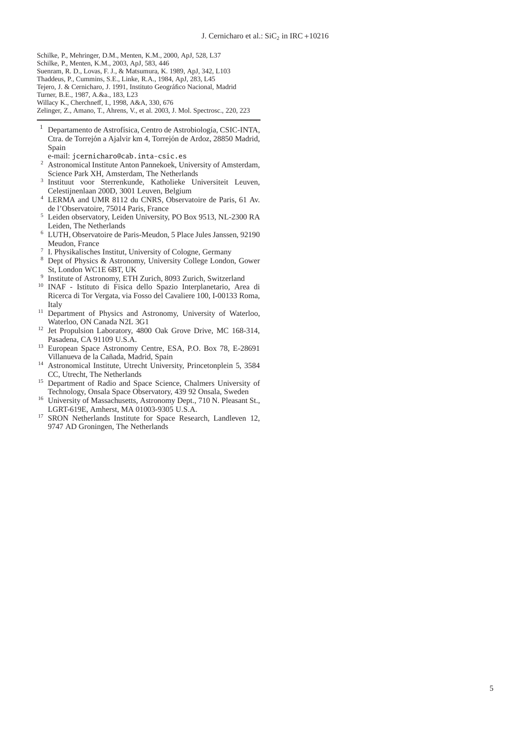- <span id="page-6-2"></span>Schilke, P., Mehringer, D.M., Menten, K.M., 2000, ApJ, 528, L37
- <span id="page-6-3"></span>Schilke, P., Menten, K.M., 2003, ApJ, 583, 446
- <span id="page-6-7"></span>Suenram, R. D., Lovas, F. J., & Matsumura, K. 1989, ApJ, 342, L103
- <span id="page-6-0"></span>Thaddeus, P., Cummins, S.E., Linke, R.A., 1984, ApJ, 283, L45
- <span id="page-6-5"></span>Tejero, J. & Cernicharo, J. 1991, Instituto Geográfico Nacional, Madrid
- <span id="page-6-1"></span>Turner, B.E., 1987, A.&a., 183, L23
- <span id="page-6-6"></span>Willacy K., Cherchneff, I., 1998, A&A, 330, 676
- <span id="page-6-4"></span>Zelinger, Z., Amano, T., Ahrens, V., et al. 2003, J. Mol. Spectrosc., 220, 223
- <sup>1</sup> Departamento de Astrofísica, Centro de Astrobiología, CSIC-INTA, Ctra. de Torrejón a Ajalvir km 4, Torrejón de Ardoz, 28850 Madrid, Spain
- e-mail: jcernicharo@cab.inta-csic.es
- <sup>2</sup> Astronomical Institute Anton Pannekoek, University of Amsterdam, Science Park XH, Amsterdam, The Netherlands
- 3 Instituut voor Sterrenkunde, Katholieke Universiteit Leuven, Celestijnenlaan 200D, 3001 Leuven, Belgium
- <sup>4</sup> LERMA and UMR 8112 du CNRS, Observatoire de Paris, 61 Av. de l'Observatoire, 75014 Paris, France
- <sup>5</sup> Leiden observatory, Leiden University, PO Box 9513, NL-2300 RA Leiden, The Netherlands
- <sup>6</sup> LUTH, Observatoire de Paris-Meudon, 5 Place Jules Janssen, 92190 Meudon, France
- 7 I. Physikalisches Institut, University of Cologne, Germany
- Dept of Physics & Astronomy, University College London, Gower St, London WC1E 6BT, UK
- $\alpha$ Institute of Astronomy, ETH Zurich, 8093 Zurich, Switzerland
- <sup>10</sup> INAF Istituto di Fisica dello Spazio Interplanetario, Area di Ricerca di Tor Vergata, via Fosso del Cavaliere 100, I-00133 Roma, Italy
- <sup>11</sup> Department of Physics and Astronomy, University of Waterloo, Waterloo, ON Canada N2L 3G1
- <sup>12</sup> Jet Propulsion Laboratory, 4800 Oak Grove Drive, MC 168-314, Pasadena, CA 91109 U.S.A.
- <sup>13</sup> European Space Astronomy Centre, ESA, P.O. Box 78, E-28691 Villanueva de la Ca˜nada, Madrid, Spain
- <sup>14</sup> Astronomical Institute, Utrecht University, Princetonplein 5, 3584 CC, Utrecht, The Netherlands
- <sup>15</sup> Department of Radio and Space Science, Chalmers University of Technology, Onsala Space Observatory, 439 92 Onsala, Sweden
- <sup>16</sup> University of Massachusetts, Astronomy Dept., 710 N. Pleasant St., LGRT-619E, Amherst, MA 01003-9305 U.S.A.
- <sup>17</sup> SRON Netherlands Institute for Space Research, Landleven 12, 9747 AD Groningen, The Netherlands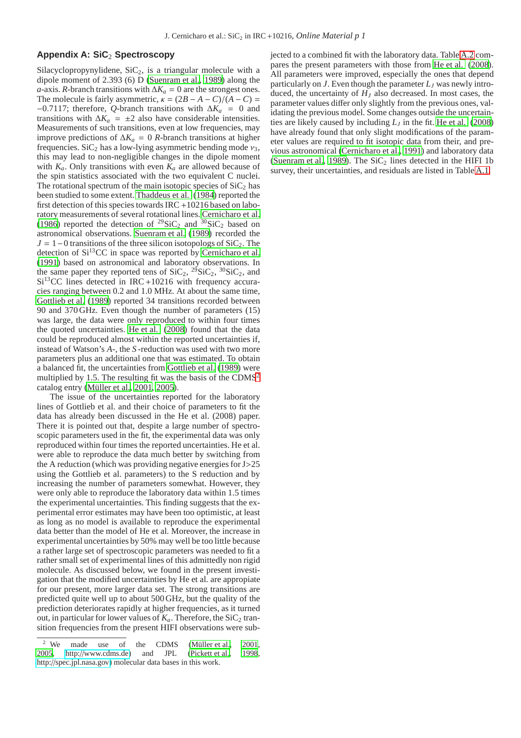#### **Appendix A: SiC**<sup>2</sup> **Spectroscopy**

Silacyclopropynylidene,  $SiC<sub>2</sub>$ , is a triangular molecule with a dipole moment of 2.393 (6) D [\(Suenram et al., 1989\)](#page-6-7) along the *a*-axis. *R*-branch transitions with  $\Delta K_a = 0$  are the strongest ones. The molecule is fairly asymmetric,  $\kappa = (2B - A - C)/(A - C) =$  $-0.7117$ ; therefore, *Q*-branch transitions with  $\Delta K_a = 0$  and transitions with  $\Delta K_a = \pm 2$  also have considerable intensities. Measurements of such transitions, even at low frequencies, may improve predictions of ∆*K<sup>a</sup>* = 0 *R*-branch transitions at higher frequencies. SiC<sub>2</sub> has a low-lying asymmetric bending mode  $v_3$ , this may lead to non-negligible changes in the dipole moment with  $K_a$ . Only transitions with even  $K_a$  are allowed because of the spin statistics associated with the two equivalent C nuclei. The rotational spectrum of the main isotopic species of  $SiC<sub>2</sub>$  has been studied to some extent. [Thaddeus et al. \(1984](#page-6-0)) reported the first detection of this species towards IRC +10216 based on laboratory measurements of several rotational lines. [Cernicharo et al.](#page-5-36) [\(1986\)](#page-5-36) reported the detection of <sup>29</sup>SiC<sub>2</sub> and <sup>30</sup>SiC<sub>2</sub> based on astronomical observations. [Suenram et al.](#page-6-7) [\(1989\)](#page-6-7) recorded the  $J = 1-0$  transitions of the three silicon isotopologs of SiC<sub>2</sub>. The detection of  $Si^{13}CC$  in space was reported by [Cernicharo et al.](#page-5-37) [\(1991\)](#page-5-37) based on astronomical and laboratory observations. In the same paper they reported tens of  $\text{SiC}_2$ ,  $\frac{29}{3}$  $\text{SiC}_2$ ,  $\frac{30}{3}$  $\text{SiC}_2$ , and  $Si<sup>13</sup>CC$  lines detected in IRC +10216 with frequency accuracies ranging between 0.2 and 1.0 MHz. At about the same time, [Gottlieb et al. \(1989\)](#page-5-38) reported 34 transitions recorded between 90 and 370 GHz. Even though the number of parameters (15) was large, the data were only reproduced to within four times the quoted uncertainties. [He et al. \(2008\)](#page-5-10) found that the data could be reproduced almost within the reported uncertainties if, instead of Watson's *A*-, the *S* -reduction was used with two more parameters plus an additional one that was estimated. To obtain a balanced fit, the uncertainties from [Gottlieb et al.](#page-5-38) [\(1989\)](#page-5-38) were multiplied by 1.5. The resulting fit was the basis of the CDMS<sup>[2](#page-7-0)</sup> catalog entry (Müller et al., 2001, [2005\)](#page-5-40).

The issue of the uncertainties reported for the laboratory lines of Gottlieb et al. and their choice of parameters to fit the data has already been discussed in the He et al. (2008) paper. There it is pointed out that, despite a large number of spectroscopic parameters used in the fit, the experimental data was only reproduced within four times the reported uncertainties. He et al. were able to reproduce the data much better by switching from the A reduction (which was providing negative energies for J>25 using the Gottlieb et al. parameters) to the S reduction and by increasing the number of parameters somewhat. However, they were only able to reproduce the laboratory data within 1.5 times the experimental uncertainties. This finding suggests that the experimental error estimates may have been too optimistic, at least as long as no model is available to reproduce the experimental data better than the model of He et al. Moreover, the increase in experimental uncertainties by 50% may well be too little because a rather large set of spectroscopic parameters was needed to fit a rather small set of experimental lines of this admittedly non rigid molecule. As discussed below, we found in the present investigation that the modified uncertainties by He et al. are appropiate for our present, more larger data set. The strong transitions are predicted quite well up to about 500 GHz, but the quality of the prediction deteriorates rapidly at higher frequencies, as it turned out, in particular for lower values of  $K_a$ . Therefore, the SiC<sub>2</sub> transition frequencies from the present HIFI observations were subjected to a combined fit with the laboratory data. Table [A.2](#page-8-1) compares the present parameters with those from [He et al. \(2008\)](#page-5-10). All parameters were improved, especially the ones that depend particularly on *J*. Even though the parameter  $L<sub>I</sub>$  was newly introduced, the uncertainty of  $H<sub>I</sub>$  also decreased. In most cases, the parameter values differ only slightly from the previous ones, validating the previous model. Some changes outside the uncertainties are likely caused by including  $L_I$  in the fit. [He et al. \(2008\)](#page-5-10) have already found that only slight modifications of the parameter values are required to fit isotopic data from their, and previous astronomical [\(Cernicharo et al.](#page-5-37), [1991](#page-5-37)) and laboratory data [\(Suenram et al.](#page-6-7), [1989\)](#page-6-7). The  $SiC_2$  lines detected in the HIFI 1b survey, their uncertainties, and residuals are listed in Table [A.1.](#page-8-0)

<span id="page-7-0"></span><sup>&</sup>lt;sup>2</sup> We made use of the CDMS (Müller et al., 2001, [2005](#page-5-40), http://[www.cdms.de\)](http://www.cdms.de) and JPL [\(Pickett et al., 1998](#page-5-41), http://[spec.jpl.nasa.gov\)](http://spec.jpl.nasa.gov) molecular data bases in this work.